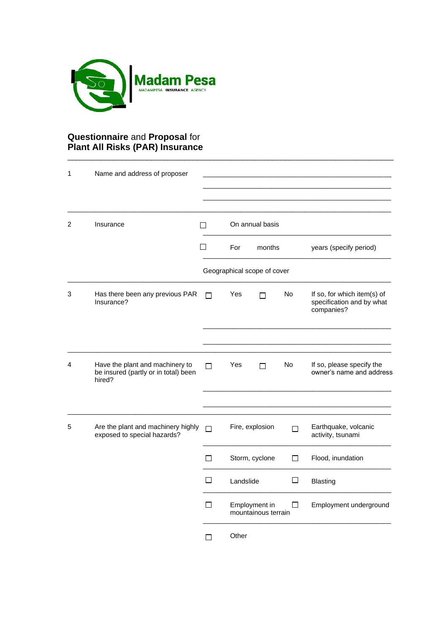

## **Questionnaire** and **Proposal** for **Plant All Risks (PAR) Insurance**

| 1 | Name and address of proposer                                                      |              |                                           |    |                                                                        |
|---|-----------------------------------------------------------------------------------|--------------|-------------------------------------------|----|------------------------------------------------------------------------|
| 2 | Insurance                                                                         | $\Box$       | On annual basis                           |    |                                                                        |
|   |                                                                                   | $\mathsf{L}$ | For<br>months                             |    | years (specify period)                                                 |
|   |                                                                                   |              | Geographical scope of cover               |    |                                                                        |
| 3 | Has there been any previous PAR<br>Insurance?                                     | $\Box$       | Yes<br>П                                  | No | If so, for which item(s) of<br>specification and by what<br>companies? |
|   |                                                                                   |              |                                           |    |                                                                        |
| 4 | Have the plant and machinery to<br>be insured (partly or in total) been<br>hired? | П            | Yes<br>П                                  | No | If so, please specify the<br>owner's name and address                  |
|   |                                                                                   |              |                                           |    |                                                                        |
| 5 | Are the plant and machinery highly<br>exposed to special hazards?                 | П            | Fire, explosion<br>П                      |    | Earthquake, volcanic<br>activity, tsunami                              |
|   |                                                                                   | П            | Storm, cyclone<br>$\Box$                  |    | Flood, inundation                                                      |
|   |                                                                                   | П            | □<br>Landslide                            |    | <b>Blasting</b>                                                        |
|   |                                                                                   | $\Box$       | Employment in<br>П<br>mountainous terrain |    | Employment underground                                                 |
|   |                                                                                   | П            | Other                                     |    |                                                                        |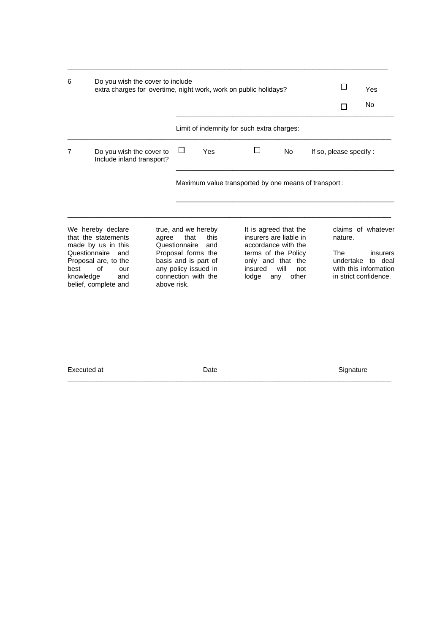| 6                                  | Do you wish the cover to include<br>extra charges for overtime, night work, work on public holidays?                                      |       |                                      |                                                                                                                                 |                                                                                                                                        |                             |  | Yes                                                  |                                                                    |
|------------------------------------|-------------------------------------------------------------------------------------------------------------------------------------------|-------|--------------------------------------|---------------------------------------------------------------------------------------------------------------------------------|----------------------------------------------------------------------------------------------------------------------------------------|-----------------------------|--|------------------------------------------------------|--------------------------------------------------------------------|
|                                    |                                                                                                                                           |       |                                      |                                                                                                                                 |                                                                                                                                        |                             |  |                                                      | <b>No</b>                                                          |
|                                    |                                                                                                                                           |       |                                      |                                                                                                                                 | Limit of indemnity for such extra charges:                                                                                             |                             |  |                                                      |                                                                    |
| 7                                  | Do you wish the cover to<br>Include inland transport?                                                                                     |       | ப                                    | Yes                                                                                                                             | No<br>If so, please specify :                                                                                                          |                             |  |                                                      |                                                                    |
|                                    |                                                                                                                                           |       |                                      |                                                                                                                                 | Maximum value transported by one means of transport:                                                                                   |                             |  |                                                      |                                                                    |
| Questionnaire<br>best<br>knowledge | We hereby declare<br>that the statements<br>made by us in this<br>and<br>Proposal are, to the<br>of<br>our<br>and<br>belief, complete and | agree | that<br>Questionnaire<br>above risk. | true, and we hereby<br>this<br>and<br>Proposal forms the<br>basis and is part of<br>any policy issued in<br>connection with the | It is agreed that the<br>insurers are liable in<br>accordance with the<br>terms of the Policy<br>only and that the<br>insured<br>lodge | will<br>not<br>other<br>any |  | nature.<br>The<br>undertake<br>in strict confidence. | claims of whatever<br>insurers<br>to deal<br>with this information |

 $\_$  ,  $\_$  ,  $\_$  ,  $\_$  ,  $\_$  ,  $\_$  ,  $\_$  ,  $\_$  ,  $\_$  ,  $\_$  ,  $\_$  ,  $\_$  ,  $\_$  ,  $\_$  ,  $\_$  ,  $\_$  ,  $\_$  ,  $\_$  ,  $\_$  ,  $\_$  ,  $\_$  ,  $\_$  ,  $\_$  ,  $\_$  ,  $\_$  ,  $\_$  ,  $\_$  ,  $\_$  ,  $\_$  ,  $\_$  ,  $\_$  ,  $\_$  ,  $\_$  ,  $\_$  ,  $\_$  ,  $\_$  ,  $\_$  ,

Executed at **Executed at CONFINGULARY CONTENTS Date** Signature Signature

 $\_$  ,  $\_$  ,  $\_$  ,  $\_$  ,  $\_$  ,  $\_$  ,  $\_$  ,  $\_$  ,  $\_$  ,  $\_$  ,  $\_$  ,  $\_$  ,  $\_$  ,  $\_$  ,  $\_$  ,  $\_$  ,  $\_$  ,  $\_$  ,  $\_$  ,  $\_$  ,  $\_$  ,  $\_$  ,  $\_$  ,  $\_$  ,  $\_$  ,  $\_$  ,  $\_$  ,  $\_$  ,  $\_$  ,  $\_$  ,  $\_$  ,  $\_$  ,  $\_$  ,  $\_$  ,  $\_$  ,  $\_$  ,  $\_$  ,